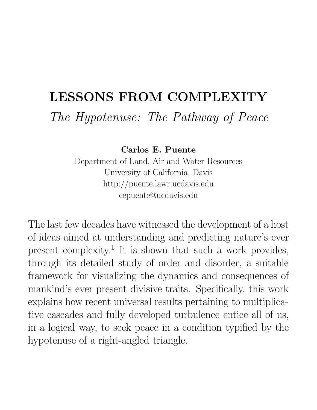# **LESSONS FROM COMPLEXITY** *The Hypotenuse: The Pathway of Peace*

**Carlos E. Puente**

Department of Land, Air and Water Resources University of California, Davis http://puente.lawr.ucdavis.edu cepuente@ucdavis.edu

The last few decades have witnessed the development of a host of ideas aimed at understanding and predicting nature's ever present complexity.<sup>1</sup> It is shown that such a work provides, through its detailed study of order and disorder, a suitable framework for visualizing the dynamics and consequences of mankind's ever present divisive traits. Specifically, this work explains how recent universal results pertaining to multiplicative cascades and fully developed turbulence entice all of us, in a logical way, to seek peace in a condition typified by the hypotenuse of a right-angled triangle.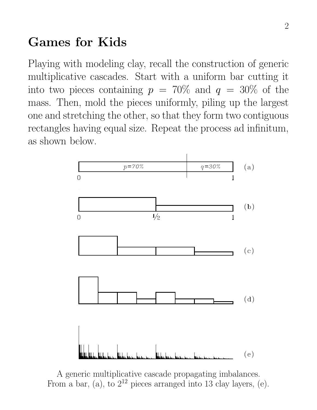## **Games for Kids**

Playing with modeling clay, recall the construction of generic multiplicative cascades. Start with a uniform bar cutting it into two pieces containing  $p = 70\%$  and  $q = 30\%$  of the mass. Then, mold the pieces uniformly, piling up the largest one and stretching the other, so that they form two contiguous rectangles having equal size. Repeat the process ad infinitum, as shown below.



A generic multiplicative cascade propagating imbalances. From a bar, (a), to  $2^{12}$  pieces arranged into 13 clay layers, (e).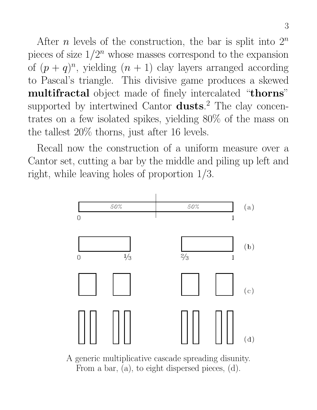After *n* levels of the construction, the bar is split into  $2^n$ pieces of size  $1/2^n$  whose masses correspond to the expansion of  $(p+q)^n$ , yielding  $(n+1)$  clay layers arranged according to Pascal's triangle. This divisive game produces a skewed **multifractal** object made of finely intercalated "**thorns**" supported by intertwined Cantor **dusts**. <sup>2</sup> The clay concentrates on a few isolated spikes, yielding 80% of the mass on the tallest 20% thorns, just after 16 levels.

Recall now the construction of a uniform measure over a Cantor set, cutting a bar by the middle and piling up left and right, while leaving holes of proportion 1/3.



A generic multiplicative cascade spreading disunity. From a bar, (a), to eight dispersed pieces, (d).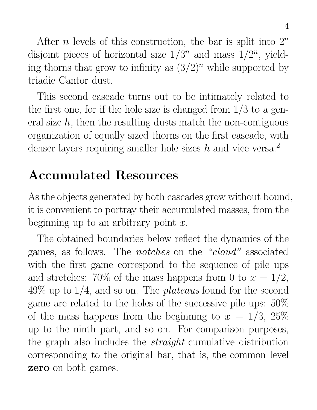After *n* levels of this construction, the bar is split into  $2^n$ disjoint pieces of horizontal size  $1/3^n$  and mass  $1/2^n$ , yielding thorns that grow to infinity as  $(3/2)^n$  while supported by triadic Cantor dust.

This second cascade turns out to be intimately related to the first one, for if the hole size is changed from  $1/3$  to a general size  $h$ , then the resulting dusts match the non-contiguous organization of equally sized thorns on the first cascade, with denser layers requiring smaller hole sizes h and vice versa.<sup>2</sup>

## **Accumulated Resources**

As the objects generated by both cascades grow without bound, it is convenient to portray their accumulated masses, from the beginning up to an arbitrary point  $x$ .

The obtained boundaries below reflect the dynamics of the games, as follows. The *notches* on the *"cloud"* associated with the first game correspond to the sequence of pile ups and stretches: 70% of the mass happens from 0 to  $x = 1/2$ , 49% up to 1/4, and so on. The *plateaus* found for the second game are related to the holes of the successive pile ups: 50% of the mass happens from the beginning to  $x = 1/3, 25\%$ up to the ninth part, and so on. For comparison purposes, the graph also includes the *straight* cumulative distribution corresponding to the original bar, that is, the common level **zero** on both games.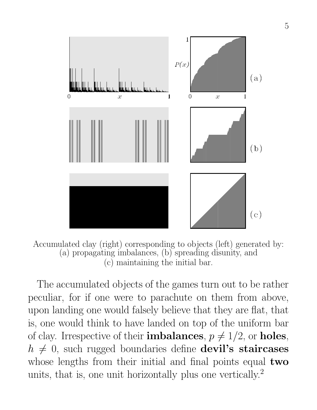

Accumulated clay (right) corresponding to objects (left) generated by: (a) propagating imbalances, (b) spreading disunity, and (c) maintaining the initial bar.

The accumulated objects of the games turn out to be rather peculiar, for if one were to parachute on them from above, upon landing one would falsely believe that they are flat, that is, one would think to have landed on top of the uniform bar of clay. Irrespective of their **imbalances**,  $p \neq 1/2$ , or **holes**,  $h \neq 0$ , such rugged boundaries define **devil's staircases** whose lengths from their initial and final points equal **two** units, that is, one unit horizontally plus one vertically.<sup>2</sup>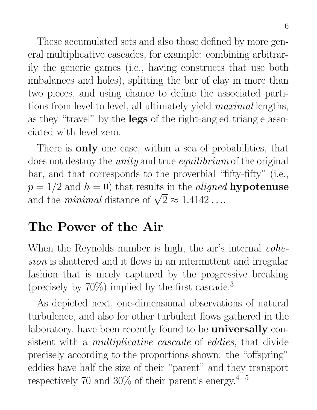These accumulated sets and also those defined by more general multiplicative cascades, for example: combining arbitrarily the generic games (i.e., having constructs that use both imbalances and holes), splitting the bar of clay in more than two pieces, and using chance to define the associated partitions from level to level, all ultimately yield *maximal* lengths, as they "travel" by the **legs** of the right-angled triangle associated with level zero.

There is **only** one case, within a sea of probabilities, that does not destroy the *unity* and true *equilibrium* of the original bar, and that corresponds to the proverbial "fifty-fifty" (i.e.,  $p = 1/2$  and  $h = 0$ ) that results in the *aligned* **hypotenuse** and the *minimal* distance of  $\sqrt{2} \approx 1.4142...$ 

### **The Power of the Air**

When the Reynolds number is high, the air's internal *cohesion* is shattered and it flows in an intermittent and irregular fashion that is nicely captured by the progressive breaking (precisely by  $70\%$ ) implied by the first cascade.<sup>3</sup>

As depicted next, one-dimensional observations of natural turbulence, and also for other turbulent flows gathered in the laboratory, have been recently found to be **universally** consistent with a *multiplicative cascade* of *eddies*, that divide precisely according to the proportions shown: the "offspring" eddies have half the size of their "parent" and they transport respectively 70 and 30% of their parent's energy.<sup>4</sup>−<sup>5</sup>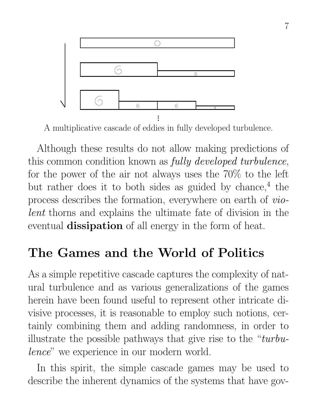

A multiplicative cascade of eddies in fully developed turbulence.

Although these results do not allow making predictions of this common condition known as *fully developed turbulence*, for the power of the air not always uses the 70% to the left but rather does it to both sides as guided by chance,  $4$  the process describes the formation, everywhere on earth of *violent* thorns and explains the ultimate fate of division in the eventual **dissipation** of all energy in the form of heat.

### **The Games and the World of Politics**

As a simple repetitive cascade captures the complexity of natural turbulence and as various generalizations of the games herein have been found useful to represent other intricate divisive processes, it is reasonable to employ such notions, certainly combining them and adding randomness, in order to illustrate the possible pathways that give rise to the "*turbulence*" we experience in our modern world.

In this spirit, the simple cascade games may be used to describe the inherent dynamics of the systems that have gov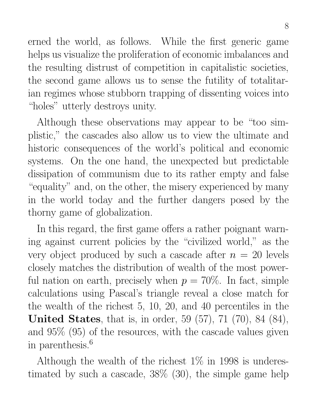erned the world, as follows. While the first generic game helps us visualize the proliferation of economic imbalances and the resulting distrust of competition in capitalistic societies, the second game allows us to sense the futility of totalitarian regimes whose stubborn trapping of dissenting voices into "holes" utterly destroys unity.

Although these observations may appear to be "too simplistic," the cascades also allow us to view the ultimate and historic consequences of the world's political and economic systems. On the one hand, the unexpected but predictable dissipation of communism due to its rather empty and false "equality" and, on the other, the misery experienced by many in the world today and the further dangers posed by the thorny game of globalization.

In this regard, the first game offers a rather poignant warning against current policies by the "civilized world," as the very object produced by such a cascade after  $n = 20$  levels closely matches the distribution of wealth of the most powerful nation on earth, precisely when  $p = 70\%$ . In fact, simple calculations using Pascal's triangle reveal a close match for the wealth of the richest 5, 10, 20, and 40 percentiles in the **United States**, that is, in order, 59 (57), 71 (70), 84 (84), and 95% (95) of the resources, with the cascade values given in parenthesis.<sup>6</sup>

Although the wealth of the richest  $1\%$  in 1998 is underestimated by such a cascade, 38% (30), the simple game help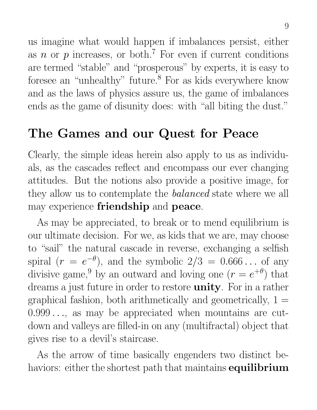us imagine what would happen if imbalances persist, either as n or p increases, or both.<sup>7</sup> For even if current conditions are termed "stable" and "prosperous" by experts, it is easy to foresee an "unhealthy" future.<sup>8</sup> For as kids everywhere know and as the laws of physics assure us, the game of imbalances ends as the game of disunity does: with "all biting the dust."

## **The Games and our Quest for Peace**

Clearly, the simple ideas herein also apply to us as individuals, as the cascades reflect and encompass our ever changing attitudes. But the notions also provide a positive image, for they allow us to contemplate the *balanced* state where we all may experience **friendship** and **peace**.

As may be appreciated, to break or to mend equilibrium is our ultimate decision. For we, as kids that we are, may choose to "sail" the natural cascade in reverse, exchanging a selfish spiral  $(r = e^{-\theta})$ , and the symbolic  $2/3 = 0.666...$  of any divisive game,<sup>9</sup> by an outward and loving one  $(r = e^{+\theta})$  that dreams a just future in order to restore **unity**. For in a rather graphical fashion, both arithmetically and geometrically,  $1 =$ 0.999 ..., as may be appreciated when mountains are cutdown and valleys are filled-in on any (multifractal) object that gives rise to a devil's staircase.

As the arrow of time basically engenders two distinct behaviors: either the shortest path that maintains **equilibrium**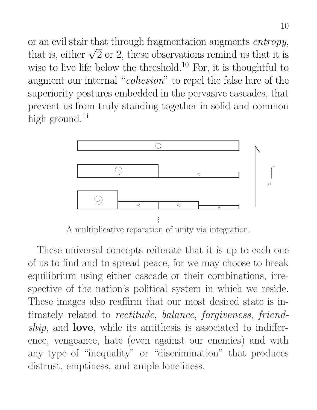or an evil stair that through fragmentation augments *entropy*, that is, either  $\sqrt{2}$  or 2, these observations remind us that it is wise to live life below the threshold.<sup>10</sup> For, it is thoughtful to augment our internal "*cohesion*" to repel the false lure of the superiority postures embedded in the pervasive cascades, that prevent us from truly standing together in solid and common high ground. $^{11}$ 



A multiplicative reparation of unity via integration.

These universal concepts reiterate that it is up to each one of us to find and to spread peace, for we may choose to break equilibrium using either cascade or their combinations, irrespective of the nation's political system in which we reside. These images also reaffirm that our most desired state is intimately related to *rectitude*, *balance*, *forgiveness*, *friendship*, and **love**, while its antithesis is associated to indifference, vengeance, hate (even against our enemies) and with any type of "inequality" or "discrimination" that produces distrust, emptiness, and ample loneliness.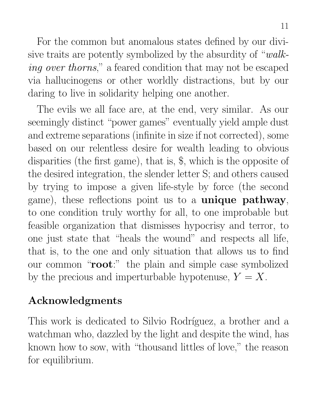For the common but anomalous states defined by our divisive traits are potently symbolized by the absurdity of "*walking over thorns*," a feared condition that may not be escaped via hallucinogens or other worldly distractions, but by our daring to live in solidarity helping one another.

The evils we all face are, at the end, very similar. As our seemingly distinct "power games" eventually yield ample dust and extreme separations (infinite in size if not corrected), some based on our relentless desire for wealth leading to obvious disparities (the first game), that is, \$, which is the opposite of the desired integration, the slender letter S; and others caused by trying to impose a given life-style by force (the second game), these reflections point us to a **unique pathway**, to one condition truly worthy for all, to one improbable but feasible organization that dismisses hypocrisy and terror, to one just state that "heals the wound" and respects all life, that is, to the one and only situation that allows us to find our common "**root**:" the plain and simple case symbolized by the precious and imperturbable hypotenuse,  $Y = X$ .

### **Acknowledgments**

This work is dedicated to Silvio Rodríguez, a brother and a watchman who, dazzled by the light and despite the wind, has known how to sow, with "thousand littles of love," the reason for equilibrium.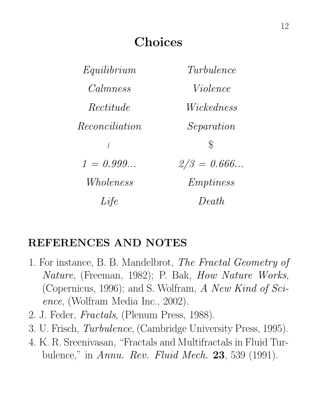## **Choices**

| Equilibrium    | Turbulence    |
|----------------|---------------|
| Calmness       | Violence      |
| Rectitude      | Wickedness    |
| Reconciliation | Separation    |
| $\int$         | $\mathcal{E}$ |
| $1 = 0.999$    | $2/3 = 0.666$ |
| Wholeness      | Emptions      |
| Life           | Death         |

### **REFERENCES AND NOTES**

- 1. For instance, B. B. Mandelbrot, *The Fractal Geometry of Nature*, (Freeman, 1982); P. Bak, *How Nature Works*, (Copernicus, 1996); and S. Wolfram, *A New Kind of Science*, (Wolfram Media Inc., 2002).
- 2. J. Feder, *Fractals*, (Plenum Press, 1988).
- 3. U. Frisch, *Turbulence*, (Cambridge University Press, 1995).
- 4. K. R. Sreenivasan, "Fractals and Multifractals in Fluid Turbulence," in *Annu. Rev. Fluid Mech.* **23**, 539 (1991).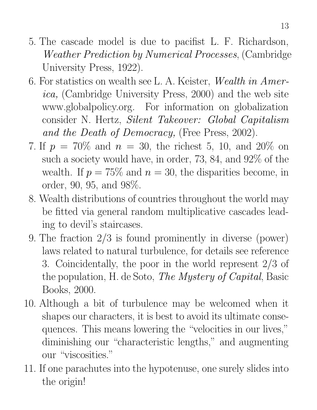- 5. The cascade model is due to pacifist L. F. Richardson, *Weather Prediction by Numerical Processes*, (Cambridge University Press, 1922).
- 6. For statistics on wealth see L. A. Keister, *Wealth in America,* (Cambridge University Press, 2000) and the web site www.globalpolicy.org. For information on globalization consider N. Hertz, *Silent Takeover: Global Capitalism and the Death of Democracy,* (Free Press, 2002).
- 7. If  $p = 70\%$  and  $n = 30$ , the richest 5, 10, and 20% on such a society would have, in order, 73, 84, and 92% of the wealth. If  $p = 75\%$  and  $n = 30$ , the disparities become, in order, 90, 95, and 98%.
- 8. Wealth distributions of countries throughout the world may be fitted via general random multiplicative cascades leading to devil's staircases.
- 9. The fraction 2/3 is found prominently in diverse (power) laws related to natural turbulence, for details see reference 3. Coincidentally, the poor in the world represent 2/3 of the population, H. de Soto, *The Mystery of Capital*, Basic Books, 2000.
- 10. Although a bit of turbulence may be welcomed when it shapes our characters, it is best to avoid its ultimate consequences. This means lowering the "velocities in our lives," diminishing our "characteristic lengths," and augmenting our "viscosities."
- 11. If one parachutes into the hypotenuse, one surely slides into the origin!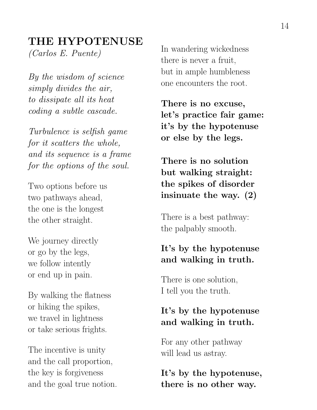#### **THE HYPOTENUSE**

*(Carlos E. Puente)*

*By the wisdom of science simply divides the air, to dissipate all its heat coding a subtle cascade.*

*Turbulence is selfish game for it scatters the whole, and its sequence is a frame for the options of the soul.*

Two options before us two pathways ahead, the one is the longest the other straight.

We journey directly or go by the legs, we follow intently or end up in pain.

By walking the flatness or hiking the spikes, we travel in lightness or take serious frights.

The incentive is unity and the call proportion, the key is forgiveness and the goal true notion. In wandering wickedness there is never a fruit, but in ample humbleness one encounters the root.

**There is no excuse, let's practice fair game: it's by the hypotenuse or else by the legs.**

**There is no solution but walking straight: the spikes of disorder insinuate the way. (2)**

There is a best pathway: the palpably smooth.

#### **It's by the hypotenuse and walking in truth.**

There is one solution, I tell you the truth.

#### **It's by the hypotenuse and walking in truth.**

For any other pathway will lead us astray.

**It's by the hypotenuse, there is no other way.**